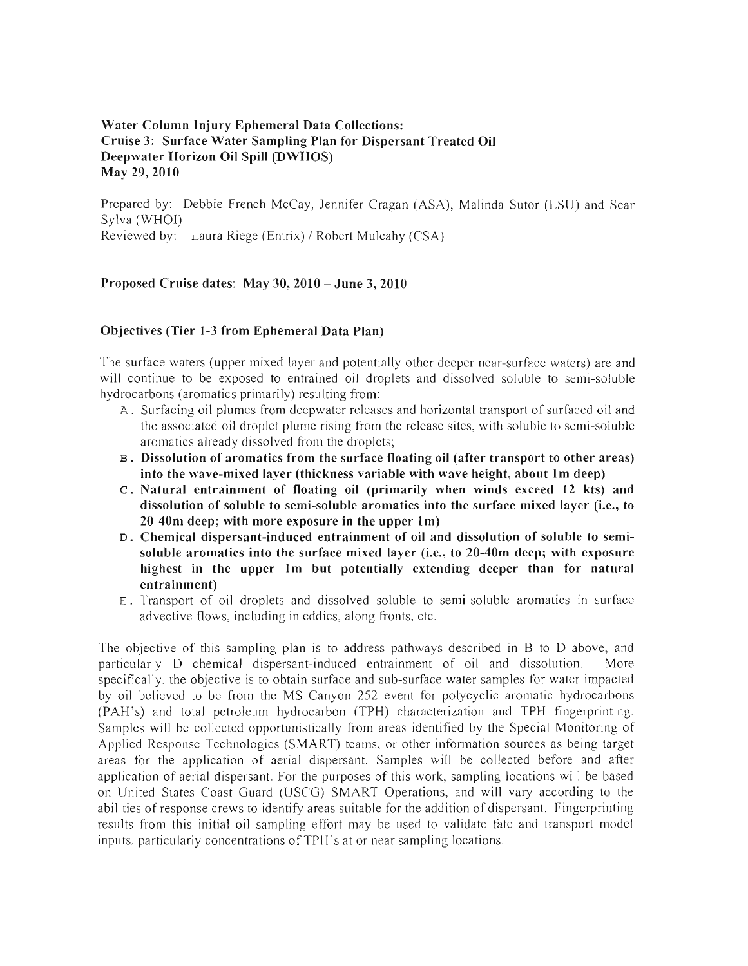# Water Column Injury Ephemeral Data Collections: Cruise 3: Surface Water Sampling Plan for Dispersant Treated Oil Deepwater Horizon Oil Spill (DWHOS) May 29, 2010

Prepared by: Debbie French-McCay, Jennifer Cragan (ASA), Malinda Sutor (LSU) and Sean Sylva (WHOI) Reviewed by: Laura Riege (Entrix) / Robert Mulcahy (CSA)

# Proposed Cruise dates: May 30, 2010 - June 3,2010

### Objectives (Tier 1-3 from Ephemeral Data Plan)

The surface waters (upper mixed layer and potentially other deeper near-surface waters) are and will continue to be exposed to entrained oil droplets and dissolved soluble to semi-soluble hydrocarbons (aromatics primarily) resulting from:

- A. Surfacing oil plumes from deepwater releases and horizontal transport of surfaced oil and the associated oil droplet plume rising from the release sites, with soluble to semi-soluble aromatics already dissolved from the droplets;
- B. Dissolution of aromatics from the surface floating oil (after transport to other areas) into the wave-mixed layer (thickness variable with wave height, about 1m deep)
- c. Natural entrainment of floating oil (primarily when winds exceed 12 kts) and dissolution of soluble to semi-soluble aromatics into the surface mixed layer (i.e., to 20-40m deep; with more exposure in the upper 1m)
- D. Chemical dispersant-induced entrainment of oil and dissolution of soluble to semisoluble aromatics into the surface mixed layer (i.e., to 20-40m deep; with exposure highest in the upper 1m but potentially extending deeper than for natural entrainment)
- E. Transport of oil droplets and dissolved soluble to semi-soluble aromatics in surface advective flows, including in eddies, along fronts, etc.

The objective of this sampling plan is to address pathways described in B to D above, and particularly D chemical dispersant-induced entrainment of oil and dissolution. More specifically, the objective is to obtain surface and sub-surface water samples for water impacted by oil believed to be from the MS Canyon 252 event for polycyclic aromatic hydrocarbons (PAH's) and total petroleum hydrocarbon (TPH) characterization and TPH fingerprinting. Samples will be collected opportunistically from areas identified by the Special Monitoring of Applied Response Technologies (SMART) teams, or other information sources as being target areas for the application of aerial dispersant. Samples will be collected before and after application of aerial dispersant. For the purposes of this work, sampling locations will be based on United States Coast Guard (USCG) SMART Operations, and will vary according to the abilities of response crews to identify areas suitable for the addition of dispersant. Fingerprinting results from this initial oil sampling effort may be used to validate fate and transport model inputs, particularly concentrations ofTPH's at or near sampling locations.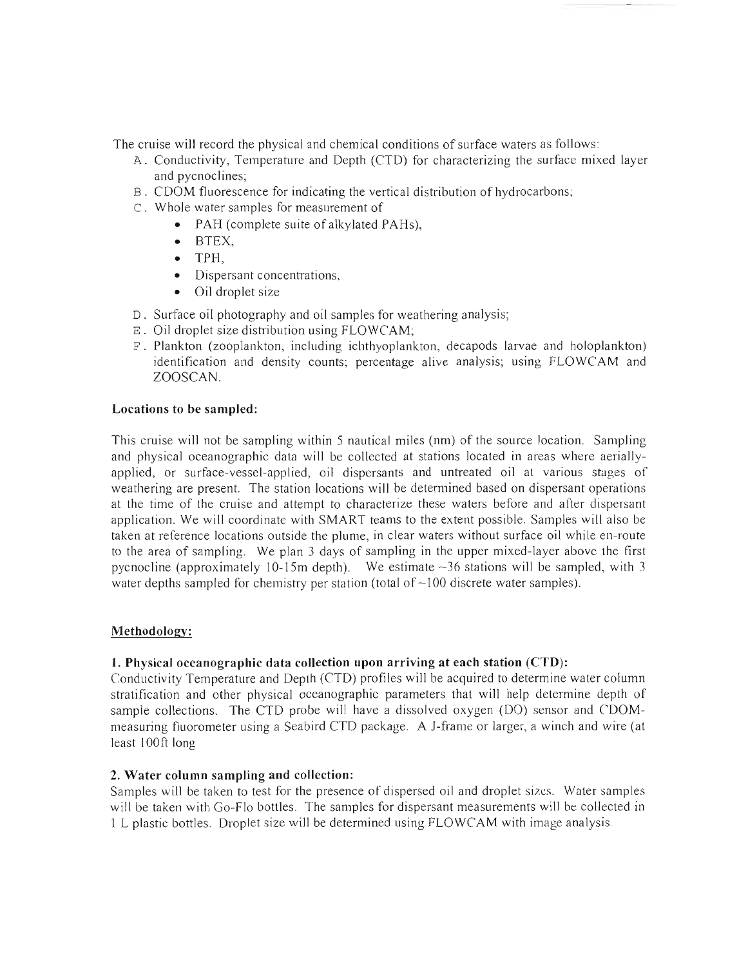The cruise will record the physical and chemical conditions of surface waters as follows:

- A. Conductivity, Temperature and Depth (CTD) for characterizing the surface mixed layer and pycnoclines:
- B. CDOM fluorescence for indicating the vertical distribution of hydrocarbons;
- c. Whole water samples for measurement of
	- PAH (complete suite of alkylated PAHs),
	- BTEX,
	- TPH,
	- Dispersant concentrations,
	- Oil droplet size
- D. Surface oil photography and oil samples for weathering analysis;
- E . Oil droplet size distribution using FLOWCAM;
- F. Plankton (zooplankton, including ichthyoplankton, decapods larvae and holoplankton) identification and density counts; percentage alive analysis; using FLOWCAM and ZOOSCAN.

# Locations to be sampled:

This cruise will not be sampling within 5 nautical miles (nm) of the source location. Sampling and physical oceanographic data will be collected at stations located in areas where aeriallyapplied, or surface-vessel-applied, oil dispersants and untreated oil at various stages of weathering are present. The station locations will be determined based on dispersant operations at the time of the cruise and attempt to characterize these waters before and after dispersant application. We will coordinate with SMART teams to the extent possible. Samples will also be taken at reference locations outside the plume, in clear waters without surface oil while en-route to the area of sampling. We plan 3 days of sampling in the upper mixed-layer above the first pycnocline (approximately 10-15m depth). We estimate  $\sim$ 36 stations will be sampled, with 3 water depths sampled for chemistry per station (total of  $\sim$  100 discrete water samples).

# Methodology:

# 1. Physical oceanographic data collection upon arriving at each station (CTD):

Conductivity Temperature and Depth (CTO) profiles will be acquired to determine water column stratification and other physical oceanographic parameters that will help determine depth of sample collections. The CTD probe will have a dissolved oxygen (DO) sensor and CDOMmeasuring fluorometer using a Seabird CTO package. A l-frame or larger, a winch and wire (at least 100ft long

# 2. Water column sampling and collection:

Samples will be taken to test for the presence of dispersed oil and droplet sizes. Water samples will be taken with Go-Flo bottles. The samples for dispersant measurements will be collected in I L plastic bottles. Droplet size will be determined using FLOWCAM with image analysis.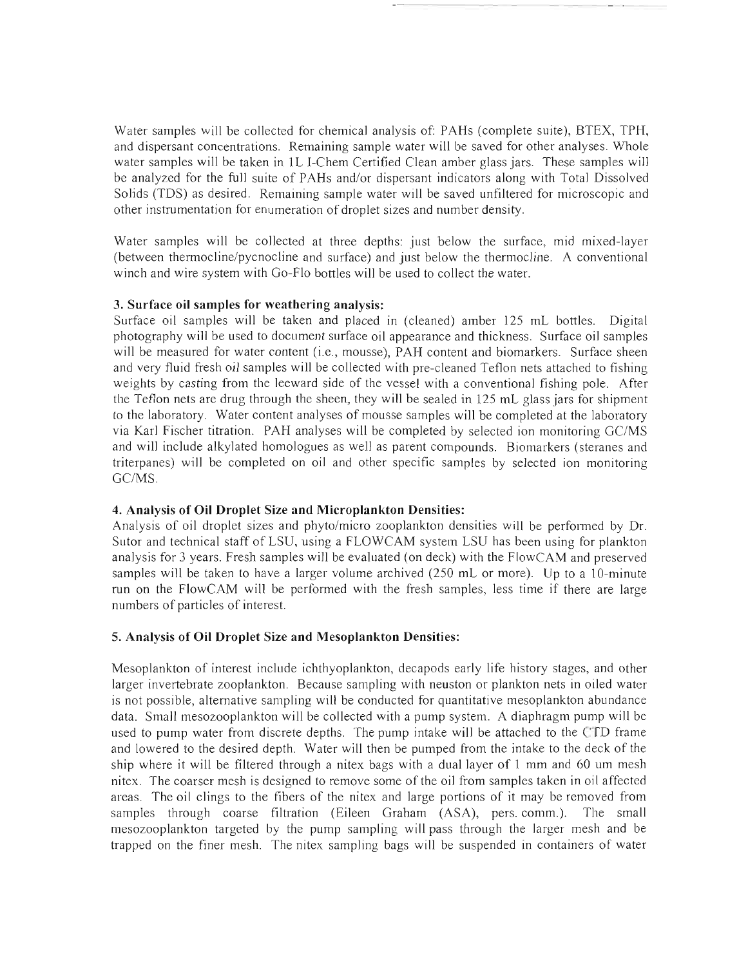Water samples will be collected for chemical analysis of: PAHs (complete suite), BTEX, TPH, and dispersant concentrations. Remaining sample water will be saved for other analyses. Whole water samples will be taken in lL I-Chem Certified Clean amber glass jars. These samples will be analyzed for the full suite of PAHs and/or dispersant indicators along with Total Dissolved Solids (TDS) as desired. Remaining sample water will be saved unfiltered for microscopic and other instrumentation for enumeration of droplet sizes and number density.

Water samples will be collected at three depths: just below the surface, mid mixed-layer (between thermocline/pycnocline and surface) and just below the thermocline. A conventional winch and wire system with Go-Flo bottles will be used to collect the water.

### 3. Surface oil samples for weathering analysis:

Surface oil samples will be taken and placed in (cleaned) amber 125 mL bottles. Digital photography will be used to document surface oil appearance and thickness. Surface oil samples will be measured for water content (i.e., mousse), PAH content and biomarkers. Surface sheen and very fluid fresh oil samples will be collected with pre-cleaned Teflon nets attached to fishing weights by casting from the leeward side of the vessel with a conventional fishing pole. After the Teflon nets are drug through the sheen, they will be sealed in 125 mL glass jars for shipment to the laboratory. Water content analyses of mousse samples will be completed at the laboratory via Karl Fischer titration. PAH analyses will be completed by selected ion monitoring GC/MS and wiII include alkylated homologues as well as parent compounds. Biomarkers (steranes and triterpanes) will be completed on oil and other specific samples by selected ion monitoring GC/MS.

# 4. Analysis of Oil Droplet Size and Microplankton Densities:

Analysis of oil droplet sizes and phyto/micro zooplankton densities will be performed by Dr. Sutor and technical staff of LSU, using a FLOWCAM system LSU has been using for plankton analysis for 3 years. Fresh samples will be evaluated (on deck) with the FlowCAM and preserved samples will be taken to have a larger volume archived (250 mL or more). Up to a 10-minute run on the FlowCAM will be performed with the fresh samples, less time if there are large numbers of particles of interest.

# 5. Analysis of Oil Droplet Size and Mesoplankton Densities:

Mesoplankton of interest include ichthyoplankton, decapods early life history stages, and other larger invertebrate zooplankton. Because sampling with neuston or plankton nets in oiled water is not possible, altemative sampling will be conducted for quantitative mesoplankton abundance data. Small mesozooplankton wiII be collected with a pump system. A diaphragm pump will be used to pump water from discrete depths. The pump intake will be attached to the CTD frame and lowered to the desired depth. Water will then be pumped from the intake to the deck of the ship where it will be filtered through a nitex bags with a dual layer of I mm and 60 um mesh nitex. The coarser mesh is designed to remove some of the oil from samples taken in oil affected areas. The oil clings to the fibers of the nitex and large portions of it may be removed from samples through coarse filtration (Eileen Graham (ASA), pers. comm.). The small mesozooplankton targeted by the pump sampling will pass through the larger mesh and be trapped on the finer mesh. The nitex sampling bags will be suspended in containers of water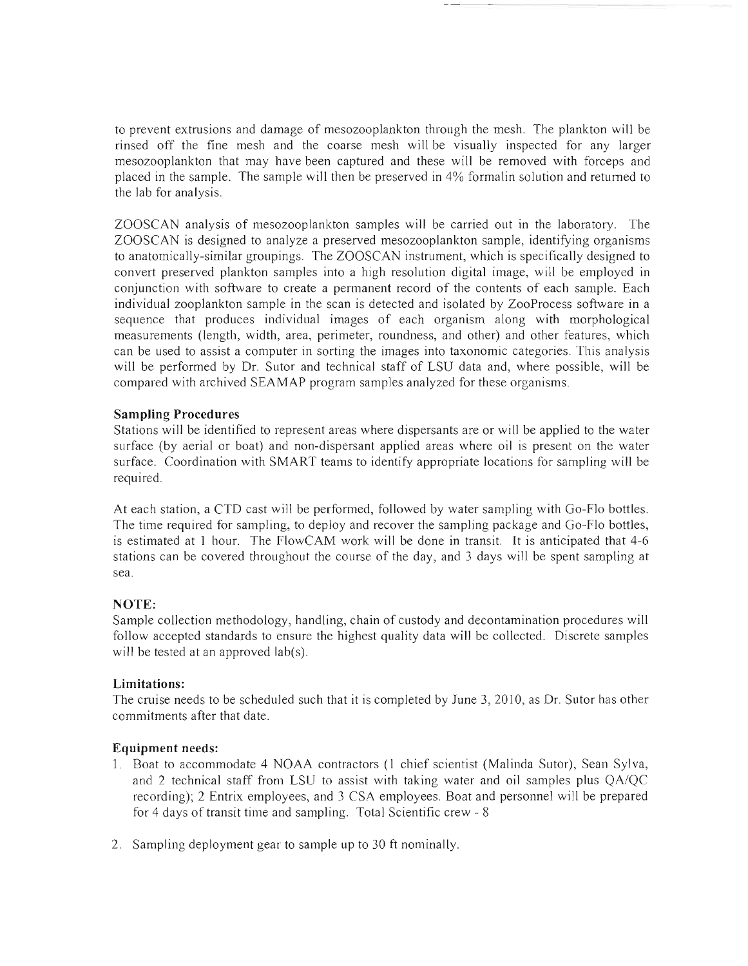to prevent extrusions and damage of mesozooplankton through the mesh. The plankton will be rinsed off the fine mesh and the coarse mesh will be visually inspected for any larger mesozooplankton that may have been captured and these will be removed with forceps and placed in the sample. The sample will then be preserved in  $4\%$  formalin solution and returned to the lab for analysis.

ZOOSCAN analysis of mesozooplankton samples will be carried out in the laboratory. The ZOOSCAN is designed to analyze a preserved mesozooplankton sample, identifying organisms to anatomically-similar groupings. The ZOOSCAN instmment, which is specifica11y designed to convert preserved plankton samples into a high resolution digital image, will be employed in conjunction with software to create a permanent record of the contents of each sample. Each individual zooplankton sample in the scan is detected and isolated by ZooProcess software in a sequence that produces individual images of each organism along with morphological measurements (length, width, area, perimeter, roundness, and other) and other features, which can be used to assist a computer in sorting the images into taxonomic categories. This analysis will be performed by Dr. Sutor and technical staff of LSU data and, where possible, will be compared with archived SEAMAP program samples analyzed for these organisms.

# Sampling Procedures

Stations will be identified to represent areas where dispersants are or will be applied to the water surface (by aerial or boat) and non-dispersant applied areas where oil is present on the water surface. Coordination with SMART teams to identify appropriate locations for sampling will be required.

At each station, a CTD cast will be performed, followed by water sampling with Go-Flo bottles. The time required for sampling, to deploy and recover the sampling package and Go-Flo bottles, is estimated at 1 hour. The FlowCAM work will be done in transit. It is anticipated that 4-6 stations can be covered throughout the course of the day, and 3 days will be spent sampling at sea.

# NOTE:

Sample collection methodology, handling, chain of custody and decontamination procedures will follow accepted standards to ensure the highest quality data will be collected. Discrete samples will be tested at an approved lab(s).

# Limitations:

The cruise needs to be scheduled such that it is completed by June 3, 2010, as Dr. Sutor has other commitments after that date.

# Equipment needs:

- 1. Boat to accommodate 4 NOAA contractors (1 chief scientist (Malinda Sutor), Sean Sylva, and 2 technical staff from LSU to assist with taking water and oil samples plus *QA/QC*  recording); 2 Entrix employees, and 3 CSA employees. Boat and personnel will be prepared for 4 days of transit time and sampling. Total Scientific crew - 8
- 2. Sampling deployment gear to sample up to 30 ft nominally.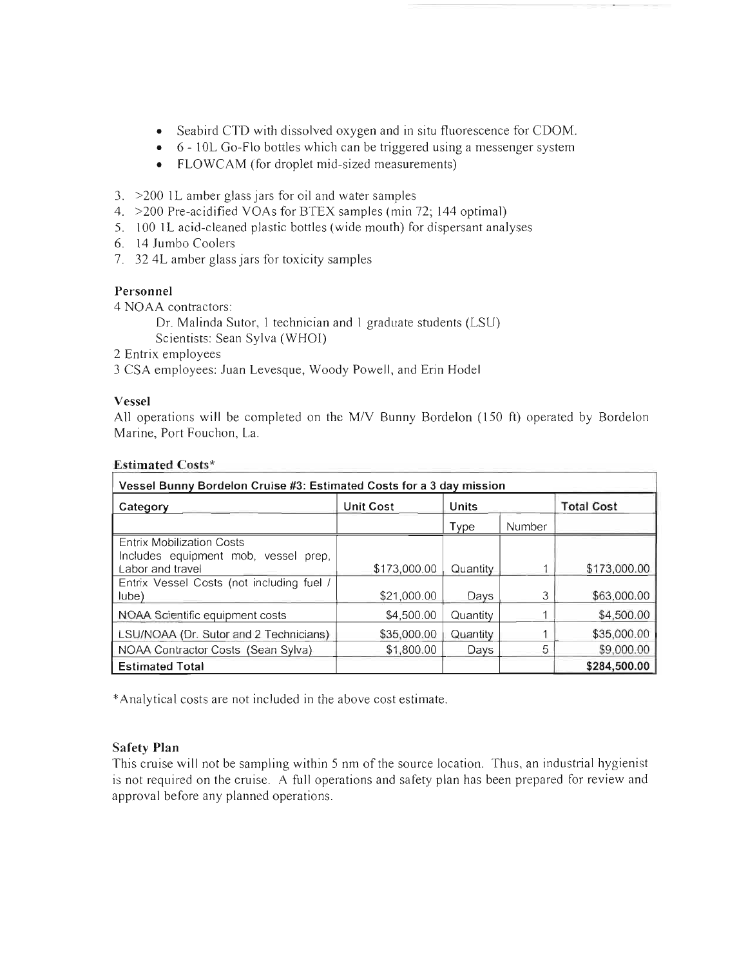- Seabird CTD with dissolved oxygen and in situ fluorescence for CDOM.
- 6 10L Go-Flo bottles which can be triggered using a messenger system
- FLOWCAM (for droplet mid-sized measurements)
- 3. >200 lL amber glass jars for oil and water samples
- 4. >200 Pre-acidified VOAs for BTEX samples (min 72; 144 optimal)
- 5. 100 lL acid-cleaned plastic bottles (wide mouth) for dispersant analyses
- 6. 14 Jumbo Coolers
- 7. 32 4L amber glass jars for toxicity samples

# Personnel

4 NOAA contractors:

Dr. Malinda Sutor, 1 technician and 1 graduate students (LSU)

Scientists: Sean Sylva (WHOI)

- 2 Entrix employees
- 3 CSA employees: Juan Levesque, Woody Powell, and Erin Hodel

# Vessel

All operations will be completed on the M/V Bunny Bordelon (150 ft) operated by Bordelon Marine, Port Fouchon, La.

| Vessel Bunny Bordelon Cruise #3: Estimated Costs for a 3 day mission |                  |          |        |                   |  |  |
|----------------------------------------------------------------------|------------------|----------|--------|-------------------|--|--|
| Category                                                             | <b>Unit Cost</b> | Units    |        | <b>Total Cost</b> |  |  |
|                                                                      |                  | Type     | Number |                   |  |  |
| <b>Entrix Mobilization Costs</b>                                     |                  |          |        |                   |  |  |
| Includes equipment mob, vessel prep,                                 |                  |          |        |                   |  |  |
| Labor and travel                                                     | \$173,000.00     | Quantity |        | \$173,000.00      |  |  |
| Entrix Vessel Costs (not including fuel /                            |                  |          |        |                   |  |  |
| lube)                                                                | \$21,000.00      | Days     | 3      | \$63,000.00       |  |  |
| NOAA Scientific equipment costs                                      | \$4,500.00       | Quantity |        | \$4,500.00        |  |  |
| LSU/NOAA (Dr. Sutor and 2 Technicians)                               | \$35,000.00      | Quantity |        | \$35,000.00       |  |  |
| NOAA Contractor Costs (Sean Sylva)                                   | \$1,800.00       | Days     | 5      | \$9,000.00        |  |  |
| <b>Estimated Total</b>                                               |                  |          |        | \$284,500.00      |  |  |

# Estimated Costs\*

\* Analytical costs are not included in the above cost estimate.

# Safety **Plan**

This cruise will not be sampling within 5 nm of the source location. Thus, an industrial hygienist is not required on the cruise. A full operations and safety plan has been prepared for review and approval before any planned operations.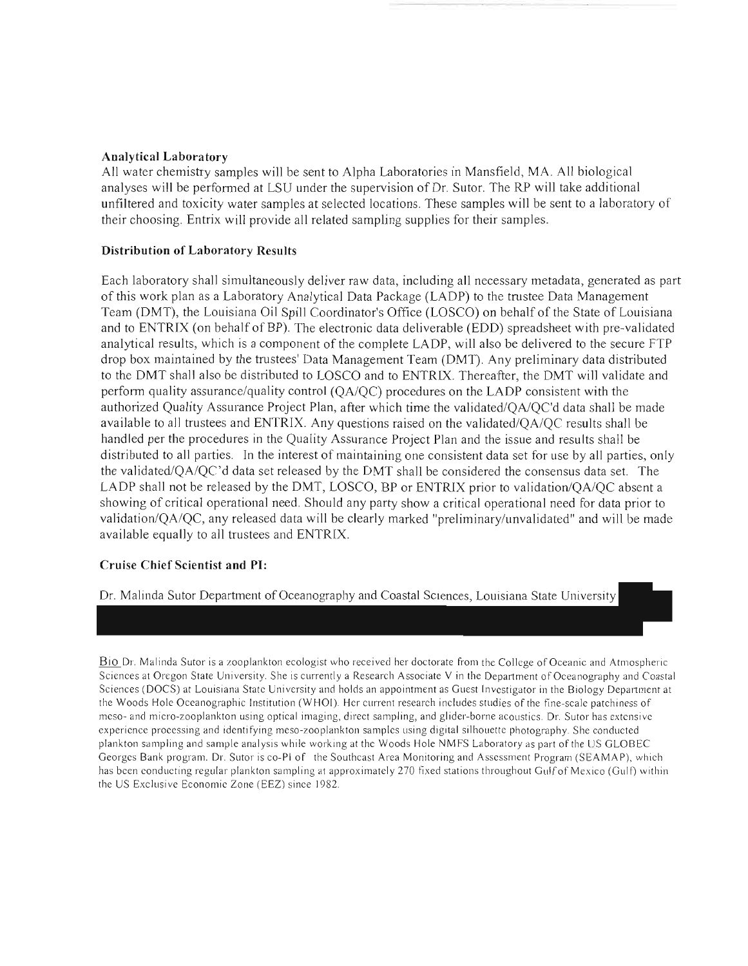#### **Analytical Laboratory**

All water chemistry samples will be sent to Alpha Laboratories in Mansfield, MA. All biological analyses will be performed at LSU under the supervision of Dr. Sutor. The RP will take additional unfiltered and toxicity water samples at selected locations. These samples will be sent to a laboratory of their choosing. Entrix will provide all related sampling supplies for their samples.

#### **Distribution of Laboratory Results**

Each laboratory shall simultaneously deliver raw data, including all necessary metadata, generated as part of this work plan as a Laboratory Analytical Data Package (LADP) to the tmstee Data Management Team (DMT), the Louisiana Oil Spill Coordinator's Office (LOSCO) on behalf of the State of Louisiana and to ENTRIX (on behalf of BP). The electronic data deliverable (EDD) spreadsheet with pre-validated analytical results, which is a component of the complete LADP, will also be delivered to the secure FTP drop box maintained by the trustees' Data Management Team (DMT). Any preliminary data distributed to the DMT shall also be distributed to LOSCO and to ENTRIX. Thereafter, the DMT will validate and perform quality assurance/quality control *(QA/QC)* procedures on the LADP consistent with the authorized Quality Assurance Project Plan, after which time the validated/QA/QC'd data shall be made available to all trustees and ENTRIX. Any questions raised on the validated/QA/QC results shall be handled per the procedures in the Quality Assurance Project Plan and the issue and results shall be distributed to all parties. In the interest of maintaining one consistent data set for use by all parties, only the *validated/QA/QC'd* data set released by the DMT shall be considered the consensus data set. The LADP shall not be released by the DMT, LOSCO, BP or ENTRIX prior to validation/OA/OC absent a showing of critical operational need. Should any party show a critical operational need for data prior to validation/QA/QC, any released data will be clearly marked "preliminary/unvalidated" and will be made available equally to all trustees and ENTRIX.

#### **Cruise Chief Scientist and PI:**

Dr. Malinda Sutor Department of Oceanography and Coastal Sciences, Louisiana State University

Bio Dr. Malinda Sutor is a zooplankton ecologist who received her doctorate from the College of Oceanic and Atmospheric Sciences at Oregon State University. She is currently a Research Associate V in the Department of Oceanography and Coastal Sciences (DOCS) at Louisiana State University and holds an appointment as Guest Investigator in the Biology Department at the Woods Hole Oceanographic Institution (WHOI). Her current research includes studies of the fine-scale patchiness of meso- and micro-zooplankton using optical imaging, direct sampling, and glider-borne acoustics. Dr. Sutor has extensive experience processing and identifying meso-zooplankton samples using digital silhouette photography. She conducted plankton sampling and sample analysis while working at the Woods Hole NMFS Laboratory as part of the US GLOBEC Georges Bank program. Dr. Sutor is co-PI of the Southeast Area Monitoring and Assessment Program (SEA MAP), which has been conducting regular plankton sampling at approximately 270 fixed stations throughout Gulf of Mexico (Gulf) within the US Exclusive Economic Zone (EEZ) since 1982.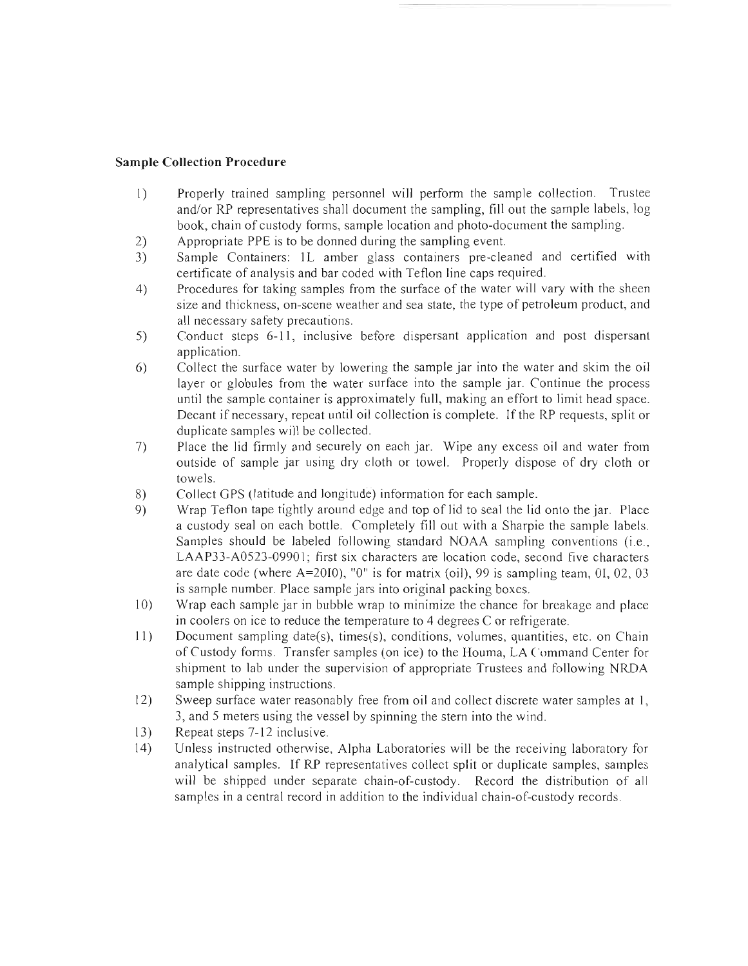## **Sample Collection Procedure**

- 1) Properly trained sampling personnel will perform the sample collection. Trustee and/or RP representatives shall document the sampling, fill out the sample labels, log book, chain of custody forms, sample location and photo-document the sampling.
- 2) Appropriate PPE is to be donned during the sampling event.
- 3) Sample Containers: 1L amber glass containers pre-cleaned and certified with certificate of analysis and bar coded with Teflon line caps required.
- 4) Procedures for taking samples from the surface of the water will vary with the sheen size and thickness, on-scene weather and sea state, the type of petroleum product, and all necessary safety precautions.
- 5) Conduct steps 6-11, inclusive before dispersant application and post dispersant application.
- 6) Collect the surface water by lowering the sample jar into the water and skim the oil layer or globules from the water surface into the sample jar. Continue the process until the sample container is approximately full, making an effort to limit head space. Decant if necessary, repeat until oil collection is complete. If the RP requests, split or duplicate samples will be collected.
- 7) Place the lid firmly and securely on each jar. Wipe any excess oil and water from outside of sample jar using dry cloth or towel. Properly dispose of dry cloth or towels.
- 8) Collect GPS (latitude and longitude) information for each sample.
- 9) Wrap Teflon tape tightly around edge and top of lid to seal the lid onto the jar. Place a custody seal on each bottle. Completely fill out with a Sharpie the sample labels. Samples should be labeled following standard NOAA sampling conventions (i.e., LAAP33-A0523-09901; first six characters are location code, second five characters are date code (where A=20IO), "0" is for matrix (oil), 99 is sampling team, 01, 02, 03 is sample number. Place sample jars into original packing boxes.
- 10) Wrap each sample jar in bubble wrap to minimize the chance for breakage and place in coolers on ice to reduce the temperature to 4 degrees  $C$  or refrigerate.
- II) Document sampling date(s), times(s), conditions, volumes, quantities, etc. on Chain of Custody fonns. Transfer samples ( on ice) to the Houma, LA Command Center for shipment to lab under the supervision of appropriate Trustees and following NRDA sample shipping instructions.
- 12) Sweep surface water reasonably free from oil and collect discrete water samples at I, 3, and 5 meters using the vessel by spinning the stem into the wind.
- 13) Repeat steps 7-12 inclusive.
- 14) Unless instructed otherwise, Alpha Laboratories will be the receiving laboratory for analytical samples. If RP representatives collect split or duplicate samples, samples will be shipped under separate chain-of-custody. Record the distribution of all samples in a central record in addition to the individual chain-of-custody records.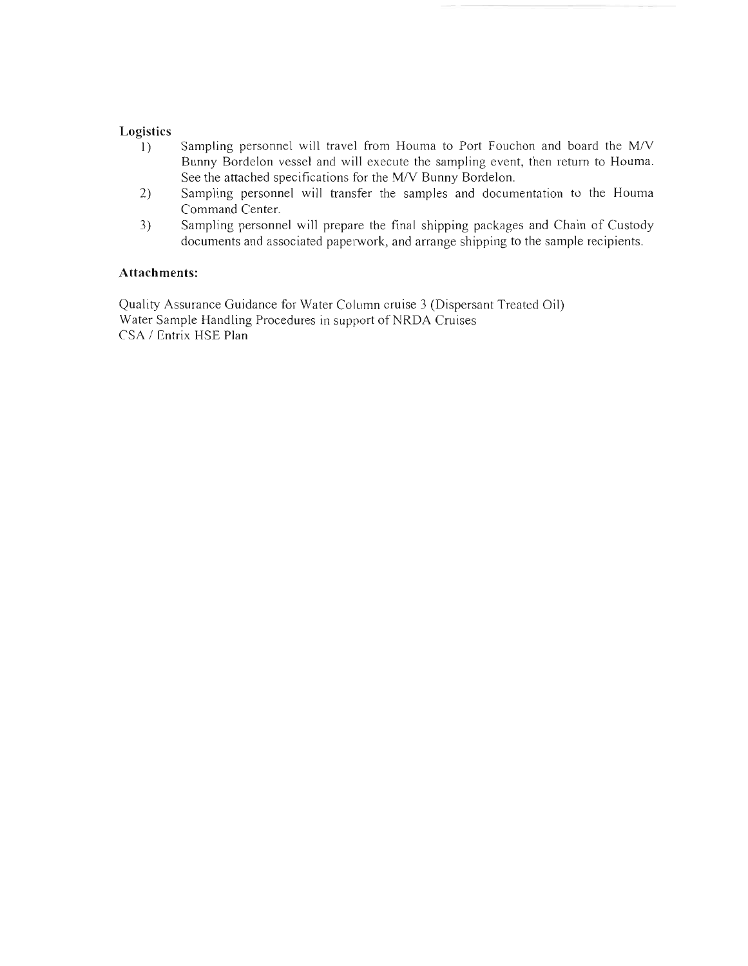## **Logistics**

- 1) Sampling personnel will travel from Houma to Port Fouchon and board the M/V Bunny Bordelon vessel and will execute the sampling event, then return to Houma. See the attached specifications for the M/V Bunny Bordelon.
- 2) Sampling personnel will transfer the samples and documentation to the Houma Command Center.
- 3) Sampling personnel will prepare the final shipping packages and Chain of Custody documents and associated paperwork, and arrange shipping to the sample recipients.

### **Attachments:**

Quality Assurance Guidance for Water Column cruise 3 (Dispersant Treated Oil) Water Sample Handling Procedures in support of NRDA Cruises CSA / Entrix HSE Plan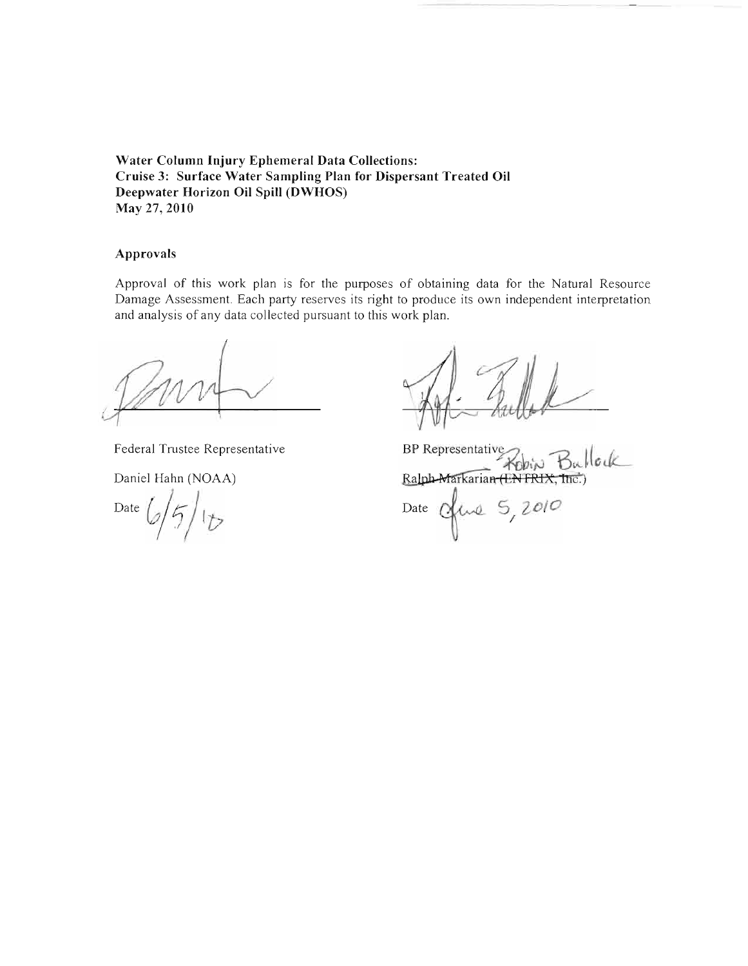# **Water Column Injury Ephemeral Data Collections: Cruise 3: Surface Water Sampling Plan for Dispersant Treated Oil Deepwater Horizon Oil Spill (DWHOS) May** 27, **2010**

### **Approvals**

Approval of this work plan is for the purposes of obtaining data for the Natural Resource Damage Assessment. Each party reserves its right to produce its own independent interpretation and analysis of any data coIlected pursuant to this work plan.

Federal Tmstee Representative

Daniel Hahn (NOAA)

Date  $6/5/15$ 

BP Representative Robin Bullock Ralph-Markarian (EN FRIX, Inc. Date Of Lue 5, 2010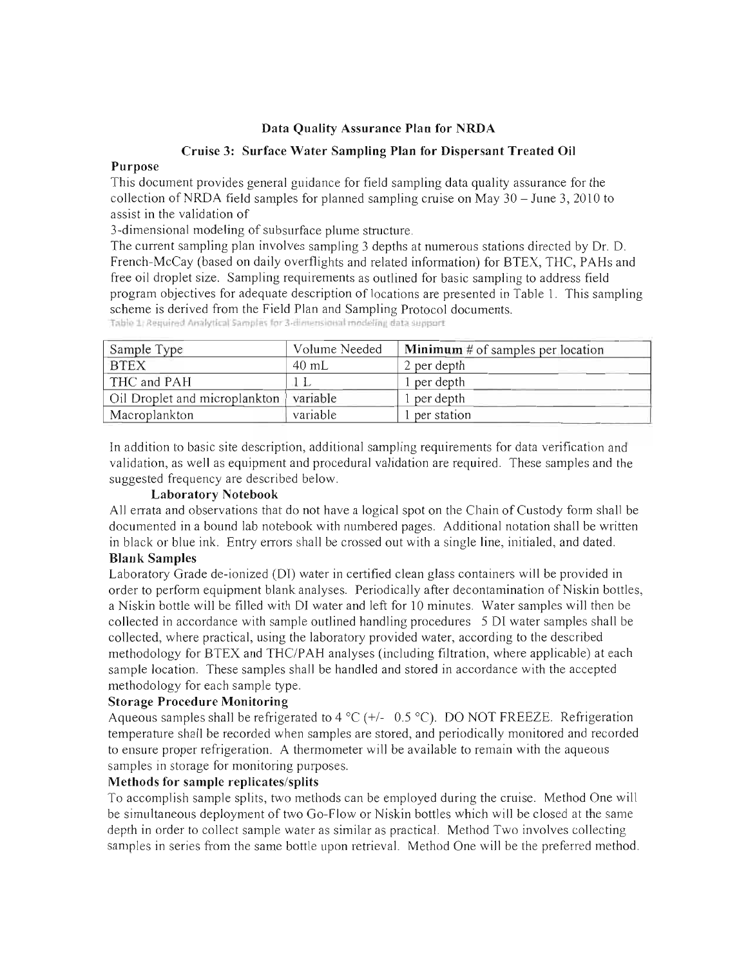# Data Quality Assurance **Plan** for NRDA

### Cruise 3: Surface Water Sampling **Plan** for Dispersant Treated **Oil**

### Purpose

This document provides general guidance for field sampling data quality assurance for the collection of NRDA field samples for planned sampling cruise on May  $30 -$  June 3, 2010 to assist in the validation of

3-dimensional modeling of subsurface plume structure.

The current sampling plan involves sampling 3 depths at numerous stations directed by Dr. D. French-McCay (based on daily overflights and related information) for BTEX, THC, PAHs and free oil droplet size. Sampling requirements as outlined for basic sampling to address field program objectives for adequate description of locations are presented in Table 1. This sampling scheme is derived from the Field Plan and Sampling Protocol documents.

| Sample Type                   | Volume Needed | <b>Minimum</b> # of samples per location |
|-------------------------------|---------------|------------------------------------------|
| <b>BTEX</b>                   | 40 mL         | 2 per depth                              |
| THC and PAH                   |               | 1 per depth                              |
| Oil Droplet and microplankton | variable      | per depth                                |
| Macroplankton                 | variable      | per station                              |

Table 1: Required Analytical Samples for 3-dimensional modeling data support

In addition to basic site description, additional sampling requirements for data verification and validation, as well as equipment and procedural validation are required. These samples and the suggested frequency are described below.

# Laboratory Notebook

All errata and observations that do not have a logical spot on the Chain of Custody form shall be documented in a bound lab notebook with numbered pages. Additional notation shall be written in black or blue ink. Entry errors shall be crossed out with a single line, initialed, and dated. **Blank** Samples

# Laboratory Grade de-ionized (DI) water in certified clean glass containers will be provided in order to perform equipment blank analyses. Periodically after decontamination of Niskin bottles, a Niskin bottle will be filled with DI water and left for 10 minutes. Water samples will then be collected in accordance with sample outlined handling procedures 5 DI water samples shall be collected, where practical, using the laboratory provided water, according to the described methodology for BTEX and THC/PAH analyses (including filtration, where applicable) at each sample location. These samples shall be handled and stored in accordance with the accepted methodology for each sample type.

# Storage Procedure Monitoring

Aqueous samples shall be refrigerated to 4 °C ( $+/-$  0.5 °C). DO NOT FREEZE. Refrigeration temperature shall be recorded when samples are stored, and periodically monitored and recorded to ensure proper refrigeration. A thermometer will be available to remain with the aqueous samples in storage for monitoring purposes.

# Methods for sample replicates/splits

To accomplish sample splits, two methods can be employed during the cruise. Method One will be simultaneous deployment of two Go-Flow or Niskin bottles which will be closed at the same depth in order to collect sample water as similar as practical. Method Two involves collecting samples in series from the same bottle upon retrieval. Method One will be the preferred method.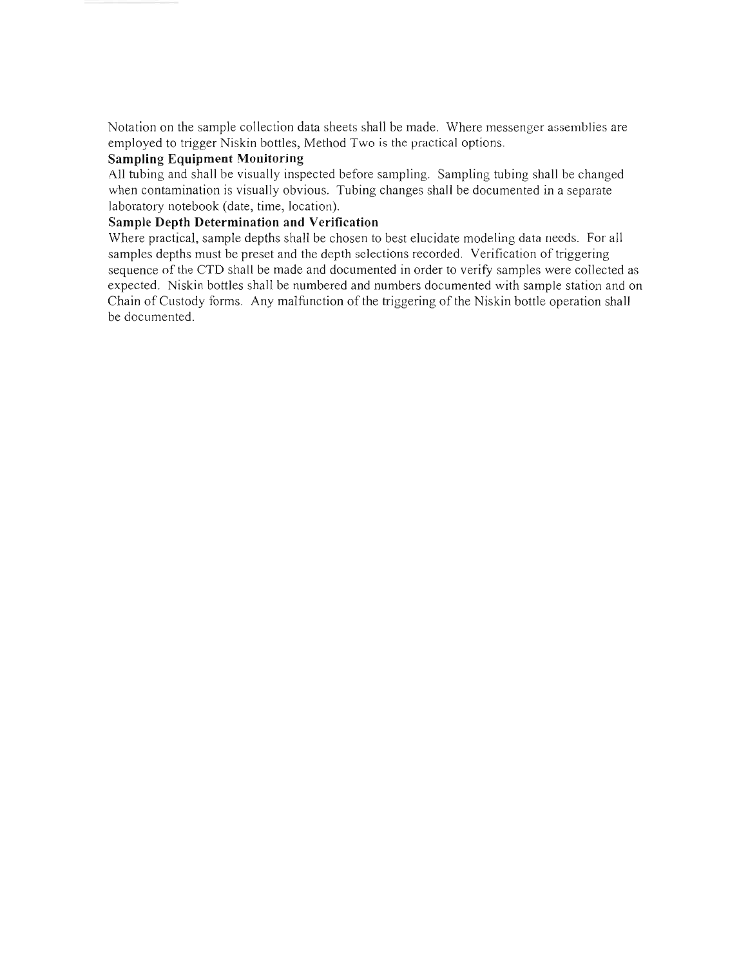Notation on the sample collection data sheets shall be made. Where messenger assemblies are employed to trigger Niskin bottles, Method Two is the practical options.

## **Sampling Equipment Monitoring**

All tubing and shall be visually inspected before sampling. Sampling tubing shall be changed when contamination is visually obvious. Tubing changes shall be documented in a separate laboratory notebook (date, time, location).

# **Sample Depth Determination and Verification**

Where practical, sample depths shall be chosen to best elucidate modeling data needs. For all samples depths must be preset and the depth selections recorded. Verification of triggering sequence of the CTD shall be made and documented in order to verify samples were collected as expected. Niskin bottles shall be numbered and numbers documented with sample station and on Chain of Custody forms. Any malfunction of the triggering of the Niskin bottle operation shall be documented.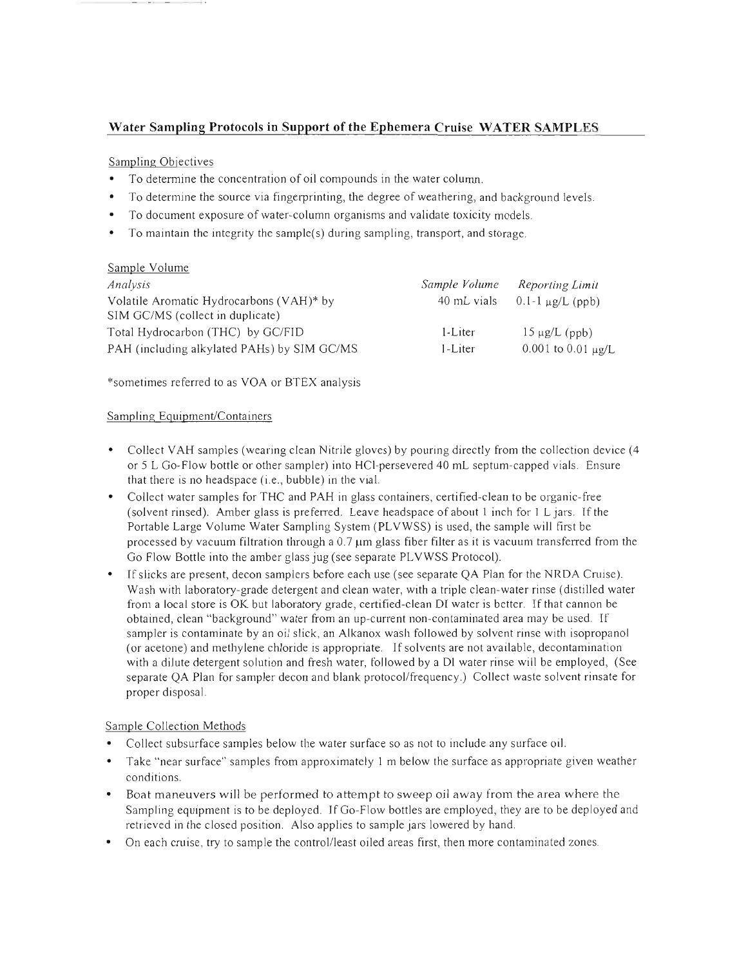# Water Sampling Protocols in Support of the Ephemera Cruise WATER SAMPLES

#### Sampling Objectives

--------

- To determine the concentration of oil compounds in the water column.
- To determine the source via fingerprinting, the degree of weathering, and background levels.
- To document exposure of water-column organisms and validate toxicity models.
- To maintain the integrity the sample(s) during sampling, transport, and storage.

#### Sample Volume

| Analysis                                    | Sample Volume | Reporting Limit                   |
|---------------------------------------------|---------------|-----------------------------------|
| Volatile Aromatic Hydrocarbons (VAH)* by    |               | 40 mL vials $0.1-1 \mu g/L$ (ppb) |
| SIM GC/MS (collect in duplicate)            |               |                                   |
| Total Hydrocarbon (THC) by GC/FID           | $1$ -Liter    | $15 \mu g/L$ (ppb)                |
| PAH (including alkylated PAHs) by SIM GC/MS | $l$ -Liter    | $0.001$ to $0.01 \mu g/L$         |

\*sometimes referred to as VOA or BTEX analysis

#### Sampling Equipment/Containers

- Collect VAH samples (wearing clean Nitrile gloves) by pouring directly from the collection device (4 or 5 L Go-Flow bottle or other sampler) into HCI-persevered 40 mL septum-capped vials. Ensure that there is no headspace (i.e. , bubble) in the vial.
- Collect water samples for THC and PAH in glass containers, certified-clean to be organic-free (solvent rinsed). Amber glass is preferred. Leave headspace of about 1 inch for 1 L jars. If the Portable Large Volume Water Sampling System (PLVWSS) is used, the sample will first be processed by vacuum filtration through a  $0.7 \mu m$  glass fiber filter as it is vacuum transferred from the Go Flow Bottle into the amber glass jug (see separate PLVWSS Protocol).
- If slicks are present, decon samplers before each use (see separate QA Plan for the NRDA Cruise). Wash with laboratory-grade detergent and clean water, with a triple clean-water rinse (distilled water from a local store is OK but laboratory grade, certified-clean DI water is better. If that cannon be obtained, clean "background" water from an up-current non-contaminated area may be used. If sampler is contaminate by an oil slick, an Alkanox wash followed by solvent rinse with isopropanol (or acetone) and methylene chloride is appropriate. If solvents are not available, decontamination with a dilute detergent solution and fresh water, followed by a DI water rinse will be employed, (See separate QA Plan for sampler decon and blank protocol/frequency.) Collect waste solvent rinsate for proper disposal.

#### Sample Collection Methods

- Collect subsurface samples below the water surface so as not to include any surface oil.
- Take "near surface" samples from approximately I m below the surface as appropriate given weather conditions.
- Boat maneuvers will be performed to attempt to sweep oil away from the area where the Sampling equipment is to be deployed. If Go-Flow bottles are employed, they are to be deployed and retrieved in the closed position. Also applies to sample jars lowered by hand.
- On each cruise, try to sample the control/least oiled areas first, then more contaminated zones.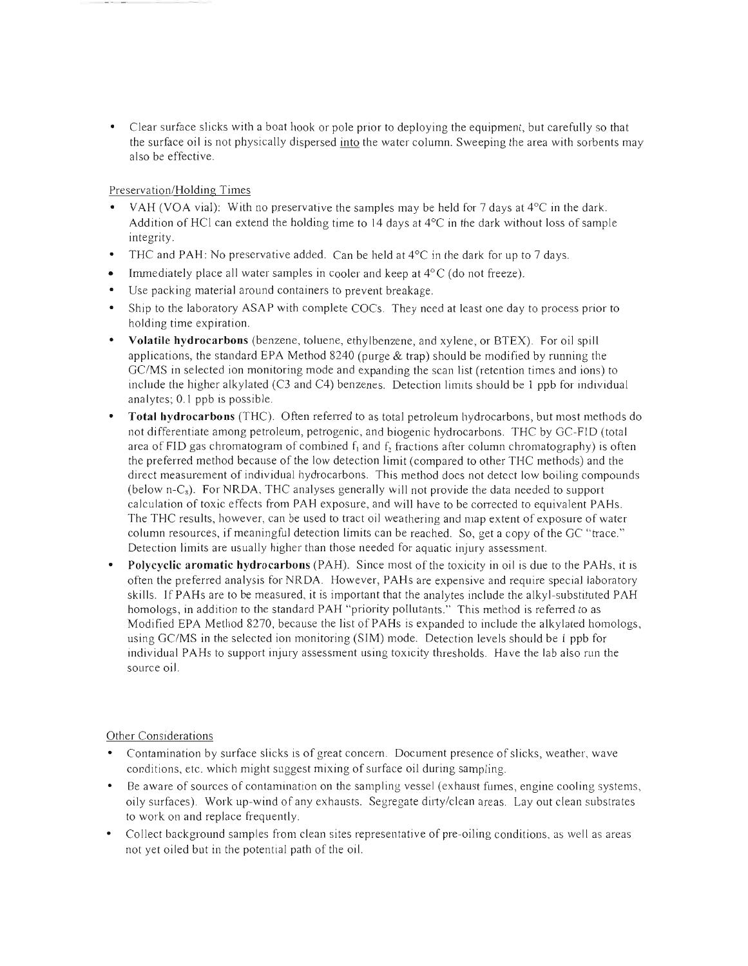• Clear surface slicks with a boat hook or pole prior to deploying the equipment, but carefully so that the surface oil is not physically dispersed into the water column. Sweeping the area with sorbents may also be effective .

Preservation/Holding Times

- VAH (VOA vial): With no preservative the samples may be held for 7 days at  $4^{\circ}$ C in the dark. Addition of HCI can extend the holding time to 14 days at  $4^{\circ}$ C in the dark without loss of sample integrity.
- THC and PAH: No preservative added. Can be held at  $4^{\circ}$ C in the dark for up to 7 days.
- Immediately place all water samples in cooler and keep at  $4^{\circ}$ C (do not freeze).
- Use packing material around containers to prevent breakage.
- Ship to the laboratory ASAP with complete COCs. They need at least one day to process prior to holding time expiration.
- **Volatile hydrocarbons** (benzene, toluene, ethylbenzene, and xylene, or BTEX). For oil spill applications, the standard EPA Method 8240 (purge  $\&$  trap) should be modified by running the GC/MS in selected ion monitoring mode and expanding the scan list (retention times and ions) to include the higher alkylated (C3 and C4) benzenes. Detection limits should be 1 ppb for individual analytes; 0.1 ppb is possible.
- **Total hydrocarbons** (THC). Often referred to as total petroleum hydrocarbons, but most methods do not differentiate among petroleum, petrogenic, and biogenic hydrocarbons. THC by GC-FID (total area of FID gas chromatogram of combined  $f_1$  and  $f_2$  fractions after column chromatography) is often the preferred method because of the low detection limit (compared to other THC methods) and the direct measurement of individual hydrocarbons. This method does not detect low boiling compounds (below n-Cs). For NRDA, THC analyses generally will not provide the data needed to support calculation of toxic effects from PAH exposure, and will have to be corrected to equivalent PAHs. The THC results, however, can be used to tract oil weathering and map extent of exposure of water column resources, if meaningful detection limits can be reached. So, get a copy of the GC "trace." Detection limits are usually higher than those needed for aquatic injury assessment.
- **Polycyclic aromatic hydrocarbons** (PAH). Since most of the toxicity in oil is due to the PARs, it is often the preferred analysis for NRDA. However, PARs are expensive and require special laboratory skills. If PAHs are to be measured, it is important that the analytes include the alkyl-substituted PAH homologs, in addition to the standard PAH "priority pollutants." This method is referred to as Modified EPA Method 8270, because the list of PARs is expanded to include the alkylated homologs, using GC/MS in the selected ion monitoring (SIM) mode. Detection levels should be 1 ppb for individual PAHs to support injury assessment using toxicity thresholds. Have the lab also run the source oil.

Other Considerations

- Contamination by surface slicks is of great concern. Document presence of slicks, weather, wave conditions, etc. which might suggest mixing of surface oil during sampling.
- Be aware of sources of contamination on the sampling vessel (exhaust fumes, engine cooling systems, oily surfaces). Work up-wind of any exhausts. Segregate dirty/clean areas. Layout clean substrates to work on and replace frequently.
- Collect background samples from clean sites representative of pre-oiling conditions, as well as areas not yet oiled but in the potential path of the oil.